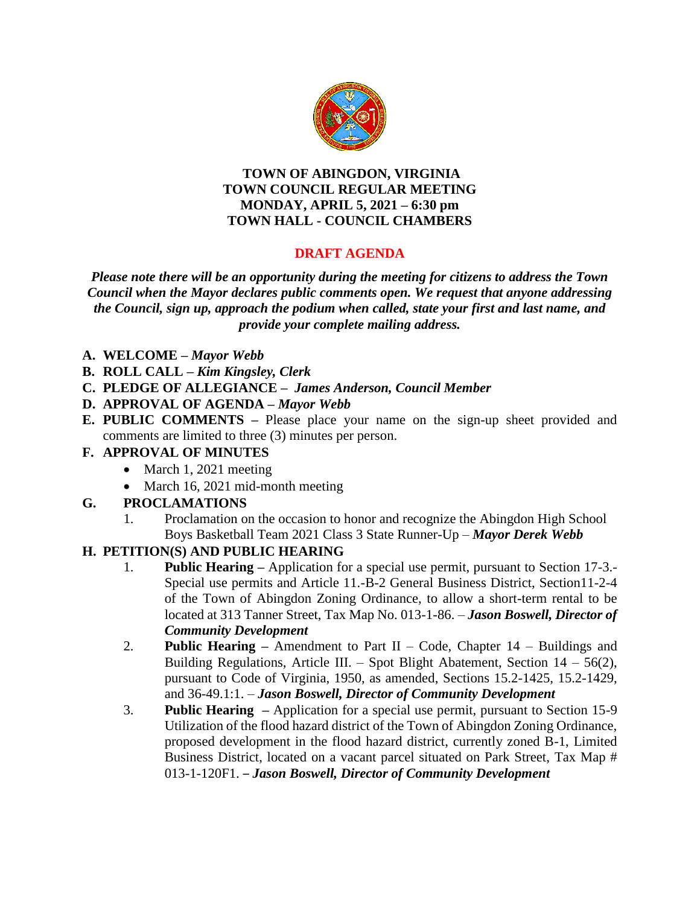

#### **TOWN OF ABINGDON, VIRGINIA TOWN COUNCIL REGULAR MEETING MONDAY, APRIL 5, 2021 – 6:30 pm TOWN HALL - COUNCIL CHAMBERS**

# **DRAFT AGENDA**

*Please note there will be an opportunity during the meeting for citizens to address the Town Council when the Mayor declares public comments open. We request that anyone addressing the Council, sign up, approach the podium when called, state your first and last name, and provide your complete mailing address.*

- **A. WELCOME –** *Mayor Webb*
- **B. ROLL CALL –** *Kim Kingsley, Clerk*
- **C. PLEDGE OF ALLEGIANCE –** *James Anderson, Council Member*
- **D. APPROVAL OF AGENDA –** *Mayor Webb*
- **E. PUBLIC COMMENTS –** Please place your name on the sign-up sheet provided and comments are limited to three (3) minutes per person.

### **F. APPROVAL OF MINUTES**

- March 1, 2021 meeting
- March 16, 2021 mid-month meeting

# **G. PROCLAMATIONS**

1. Proclamation on the occasion to honor and recognize the Abingdon High School Boys Basketball Team 2021 Class 3 State Runner-Up – *Mayor Derek Webb*

### **H. PETITION(S) AND PUBLIC HEARING**

- 1. **Public Hearing –** Application for a special use permit, pursuant to Section 17-3.- Special use permits and Article 11.-B-2 General Business District, Section11-2-4 of the Town of Abingdon Zoning Ordinance, to allow a short-term rental to be located at 313 Tanner Street, Tax Map No. 013-1-86. – *Jason Boswell, Director of Community Development*
- 2. **Public Hearing –** Amendment to Part II Code, Chapter 14 Buildings and Building Regulations, Article III. – Spot Blight Abatement, Section  $14 - 56(2)$ , pursuant to Code of Virginia, 1950, as amended, Sections 15.2-1425, 15.2-1429, and 36-49.1:1. – *Jason Boswell, Director of Community Development*
- 3. **Public Hearing –** Application for a special use permit, pursuant to Section 15-9 Utilization of the flood hazard district of the Town of Abingdon Zoning Ordinance, proposed development in the flood hazard district, currently zoned B-1, Limited Business District, located on a vacant parcel situated on Park Street, Tax Map # 013-1-120F1. – *Jason Boswell, Director of Community Development*